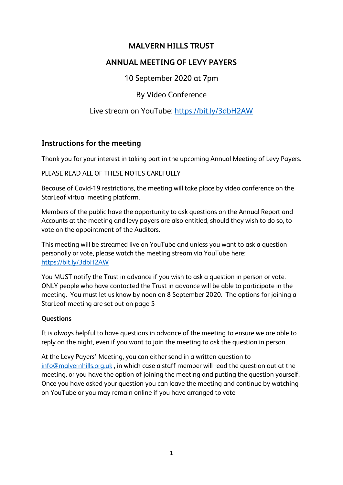## **MALVERN HILLS TRUST**

# **ANNUAL MEETING OF LEVY PAYERS**

10 September 2020 at 7pm

By Video Conference

# Live stream on YouTube:<https://bit.ly/3dbH2AW>

## **Instructions for the meeting**

Thank you for your interest in taking part in the upcoming Annual Meeting of Levy Payers.

PLEASE READ ALL OF THESE NOTES CAREFULLY

Because of Covid-19 restrictions, the meeting will take place by video conference on the StarLeaf virtual meeting platform.

Members of the public have the opportunity to ask questions on the Annual Report and Accounts at the meeting and levy payers are also entitled, should they wish to do so, to vote on the appointment of the Auditors.

This meeting will be streamed live on YouTube and unless you want to ask a question personally or vote, please watch the meeting stream via YouTube here: <https://bit.ly/3dbH2AW>

You MUST notify the Trust in advance if you wish to ask a question in person or vote. ONLY people who have contacted the Trust in advance will be able to participate in the meeting. You must let us know by noon on 8 September 2020. The options for joining a StarLeaf meeting are set out on page 5

### **Questions**

It is always helpful to have questions in advance of the meeting to ensure we are able to reply on the night, even if you want to join the meeting to ask the question in person.

At the Levy Payers' Meeting, you can either send in a written question to [info@malvernhills.org.uk](mailto:info@malvernhills.org.uk) , in which case a staff member will read the question out at the meeting, or you have the option of joining the meeting and putting the question yourself. Once you have asked your question you can leave the meeting and continue by watching on YouTube or you may remain online if you have arranged to vote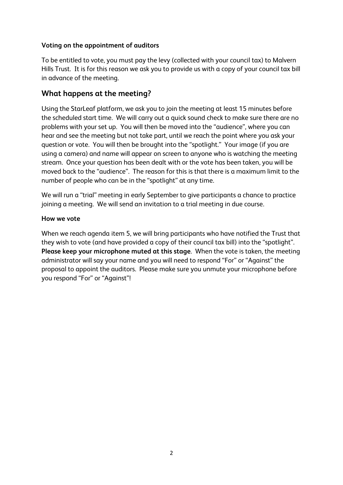### **Voting on the appointment of auditors**

To be entitled to vote, you must pay the levy (collected with your council tax) to Malvern Hills Trust. It is for this reason we ask you to provide us with a copy of your council tax bill in advance of the meeting.

## **What happens at the meeting?**

Using the StarLeaf platform, we ask you to join the meeting at least 15 minutes before the scheduled start time. We will carry out a quick sound check to make sure there are no problems with your set up. You will then be moved into the "audience", where you can hear and see the meeting but not take part, until we reach the point where you ask your question or vote. You will then be brought into the "spotlight." Your image (if you are using a camera) and name will appear on screen to anyone who is watching the meeting stream. Once your question has been dealt with or the vote has been taken, you will be moved back to the "audience". The reason for this is that there is a maximum limit to the number of people who can be in the "spotlight" at any time.

We will run a "trial" meeting in early September to give participants a chance to practice joining a meeting. We will send an invitation to a trial meeting in due course.

#### **How we vote**

When we reach agenda item 5, we will bring participants who have notified the Trust that they wish to vote (and have provided a copy of their council tax bill) into the "spotlight". **Please keep your microphone muted at this stage**. When the vote is taken, the meeting administrator will say your name and you will need to respond "For" or "Against" the proposal to appoint the auditors. Please make sure you unmute your microphone before you respond "For" or "Against"!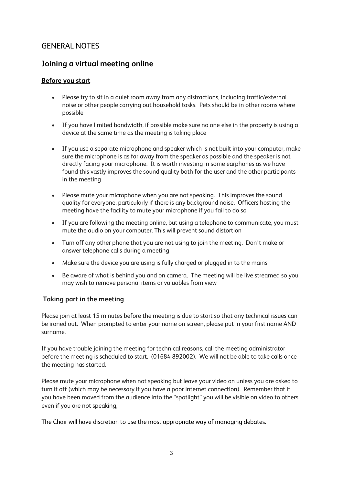# GENERAL NOTES

## **Joining a virtual meeting online**

### **Before you start**

- Please try to sit in a quiet room away from any distractions, including traffic/external noise or other people carrying out household tasks. Pets should be in other rooms where possible
- If you have limited bandwidth, if possible make sure no one else in the property is using a device at the same time as the meeting is taking place
- If you use a separate microphone and speaker which is not built into your computer, make sure the microphone is as far away from the speaker as possible and the speaker is not directly facing your microphone. It is worth investing in some earphones as we have found this vastly improves the sound quality both for the user and the other participants in the meeting
- Please mute your microphone when you are not speaking. This improves the sound quality for everyone, particularly if there is any background noise. Officers hosting the meeting have the facility to mute your microphone if you fail to do so
- If you are following the meeting online, but using a telephone to communicate, you must mute the audio on your computer. This will prevent sound distortion
- Turn off any other phone that you are not using to join the meeting. Don't make or answer telephone calls during a meeting
- Make sure the device you are using is fully charged or plugged in to the mains
- Be aware of what is behind you and on camera. The meeting will be live streamed so you may wish to remove personal items or valuables from view

#### **Taking part in the meeting**

Please join at least 15 minutes before the meeting is due to start so that any technical issues can be ironed out. When prompted to enter your name on screen, please put in your first name AND surname.

If you have trouble joining the meeting for technical reasons, call the meeting administrator before the meeting is scheduled to start. (01684 892002). We will not be able to take calls once the meeting has started.

Please mute your microphone when not speaking but leave your video on unless you are asked to turn it off (which may be necessary if you have a poor internet connection). Remember that if you have been moved from the audience into the "spotlight" you will be visible on video to others even if you are not speaking,

The Chair will have discretion to use the most appropriate way of managing debates.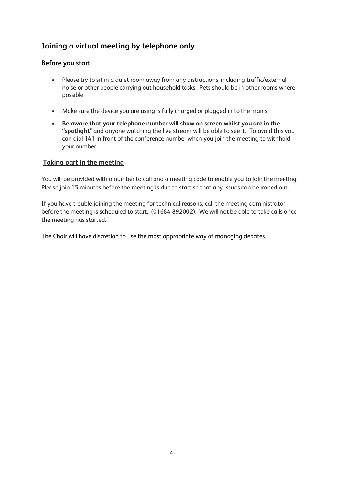# **Joining a virtual meeting by telephone only**

#### **Before you start**

- Please try to sit in a quiet room away from any distractions, including traffic/external noise or other people carrying out household tasks. Pets should be in other rooms where possible
- Make sure the device you are using is fully charged or plugged in to the mains
- **Be aware that your telephone number will show on screen whilst you are in the "spotlight**" and anyone watching the live stream will be able to see it. To avoid this you can dial 141 in front of the conference number when you join the meeting to withhold your number.

#### **Taking part in the meeting**

You will be provided with a number to call and a meeting code to enable you to join the meeting. Please join 15 minutes before the meeting is due to start so that any issues can be ironed out.

If you have trouble joining the meeting for technical reasons, call the meeting administrator before the meeting is scheduled to start. (01684 892002). We will not be able to take calls once the meeting has started.

The Chair will have discretion to use the most appropriate way of managing debates.